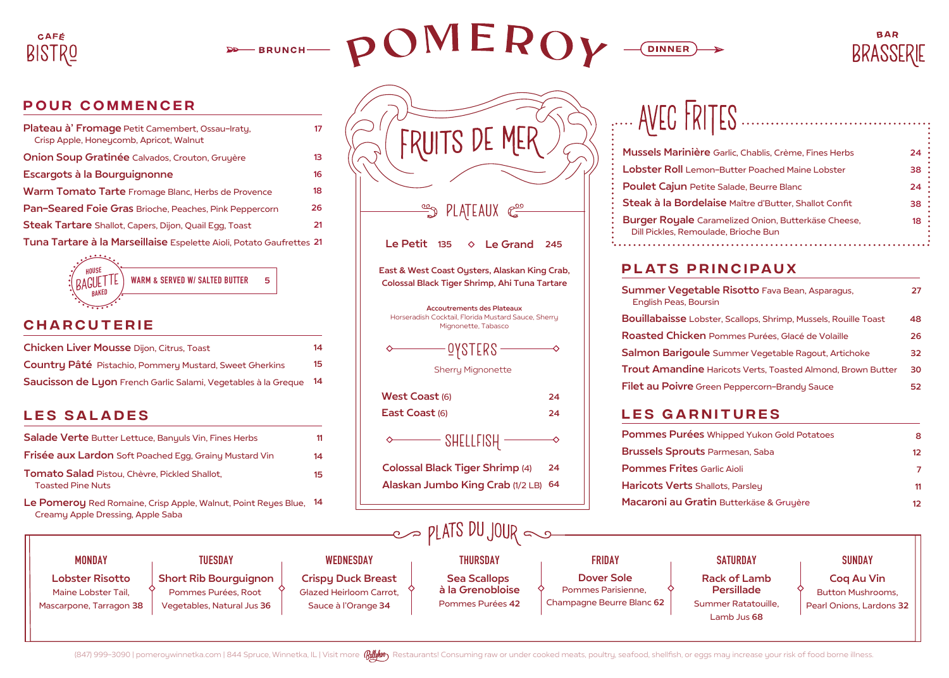

**BRUNCH-**



**PLATEAUX**  $\mathbb{C}^{\underline{\circ}\circ}$ 

 $\Diamond$  Le Grand 245

Le Petit

West Coast (6) East Coast (6)

♦



## POUR COMMENCER

| Plateau à' Fromage Petit Camembert, Ossau-Iraty,<br>Crisp Apple, Honeycomb, Apricot, Walnut | 17 |
|---------------------------------------------------------------------------------------------|----|
| Onion Soup Gratinée Calvados, Crouton, Gruyère                                              | 13 |
| Escargots à la Bourguignonne                                                                | 16 |
| Warm Tomato Tarte Fromage Blanc, Herbs de Provence                                          | 18 |
| Pan-Seared Foie Gras Brioche, Peaches, Pink Peppercorn                                      | 26 |
| <b>Steak Tartare</b> Shallot, Capers, Dijon, Quail Egg, Toast                               | 21 |
| Tuna Tartare à la Marseillaise Espelette Aioli, Potato Gaufrettes 21                        |    |
|                                                                                             |    |



# **CHARCUTERIE**

| <b>Chicken Liver Mousse Dijon, Citrus, Toast</b>               | 14 |
|----------------------------------------------------------------|----|
| <b>Country Pâté</b> Pistachio, Pommery Mustard, Sweet Gherkins | 15 |
| Saucisson de Lyon French Garlic Salami, Vegetables à la Greque | 14 |

# LES SALADES

| Salade Verte Butter Lettuce, Banyuls Vin, Fines Herbs                     | 11 |
|---------------------------------------------------------------------------|----|
| <b>Frisée aux Lardon</b> Soft Poached Egg, Grainy Mustard Vin             | 14 |
| Tomato Salad Pistou, Chèvre, Pickled Shallot,<br><b>Toasted Pine Nuts</b> | 15 |
| <b>Le Pomerou Ped Pomeine Criss Apple Walput, Point Peugs Blue</b>        |    |

| Creamy Apple Dressing, Apple Saba                                        | Le Pomeroy Red Romaine, Crisp Apple, Walnut, Point Reyes Blue, 14                 |                                                                             |                                                             |                                                                      | Macaroni au Gratin Butterkäse & Gruyère                         |                                                                           |
|--------------------------------------------------------------------------|-----------------------------------------------------------------------------------|-----------------------------------------------------------------------------|-------------------------------------------------------------|----------------------------------------------------------------------|-----------------------------------------------------------------|---------------------------------------------------------------------------|
|                                                                          | $\sim$ pLATS DU JOUR                                                              |                                                                             |                                                             |                                                                      |                                                                 |                                                                           |
| <b>MONDAY</b>                                                            | <b>TUESDAY</b>                                                                    | WEDNESDAY                                                                   | <b>THURSDAY</b>                                             | <b>FRIDAY</b>                                                        | <b>SATURDAY</b>                                                 | <b>SUNDAY</b>                                                             |
| <b>Lobster Risotto</b><br>Maine Lobster Tail,<br>Mascarpone, Tarragon 38 | <b>Short Rib Bourguignon</b><br>Pommes Purées, Root<br>Vegetables, Natural Jus 36 | <b>Crispy Duck Breast</b><br>Glazed Heirloom Carrot,<br>Sauce à l'Orange 34 | <b>Sea Scallops</b><br>à la Grenobloise<br>Pommes Purées 42 | <b>Dover Sole</b><br>Pommes Parisienne,<br>Champagne Beurre Blanc 62 | <b>Rack of Lamb</b><br><b>Persillade</b><br>Summer Ratatouille, | <b>Cog Au Vin</b><br><b>Button Mushrooms,</b><br>Pearl Onions, Lardons 32 |
|                                                                          |                                                                                   |                                                                             |                                                             |                                                                      | Lamb Jus 68                                                     |                                                                           |

shellfisH

OYsters

Sherry Mignonette

Accoutrements des Plateaux Horseradish Cocktail, Florida Mustard Sauce, Sherry Mignonette, Tabasco

East & West Coast Oysters, Alaskan King Crab, Colossal Black Tiger Shrimp, Ahi Tuna Tartare

> 24 24

◇

24

 $\rightsquigarrow$ 

Alaskan Jumbo King Crab (1/2 LB) 64

Colossal Black Tiger Shrimp (4)

|  | . AVEC FRITES |
|--|---------------|
|  |               |

**DINNER** 

| Mussels Marinière Garlic, Chablis, Crème, Fines Herbs                                              | 24 |
|----------------------------------------------------------------------------------------------------|----|
| <b>Lobster Roll</b> Lemon-Butter Poached Maine Lobster                                             | 38 |
| Poulet Cajun Petite Salade, Beurre Blanc                                                           | 24 |
| Steak à la Bordelaise Maître d'Butter, Shallot Confit                                              | 38 |
| <b>Burger Royale</b> Caramelized Onion, Butterkäse Cheese,<br>Dill Pickles, Remoulade, Brioche Bun | 18 |

# PLATS PRINCIPAUX

| Summer Vegetable Risotto Fava Bean, Asparagus,<br><b>English Peas, Boursin</b> | 27 |
|--------------------------------------------------------------------------------|----|
| Bouillabaisse Lobster, Scallops, Shrimp, Mussels, Rouille Toast                | 48 |
| Roasted Chicken Pommes Purées, Glacé de Volaille                               | 26 |
| Salmon Barigoule Summer Vegetable Ragout, Artichoke                            | 32 |
| <b>Trout Amandine Haricots Verts, Toasted Almond, Brown Butter</b>             | 30 |
| Filet au Poivre Green Peppercorn-Brandy Sauce                                  | 52 |

# Les Garnitures

| Pommes Purées Whipped Yukon Gold Potatoes |    |
|-------------------------------------------|----|
| <b>Brussels Sprouts Parmesan, Saba</b>    | 12 |
| <b>Pommes Frites Garlic Aioli</b>         |    |
| <b>Haricots Verts Shallots, Parsley</b>   | 11 |
| Macaroni au Gratin Butterkäse & Gruyère   | 12 |